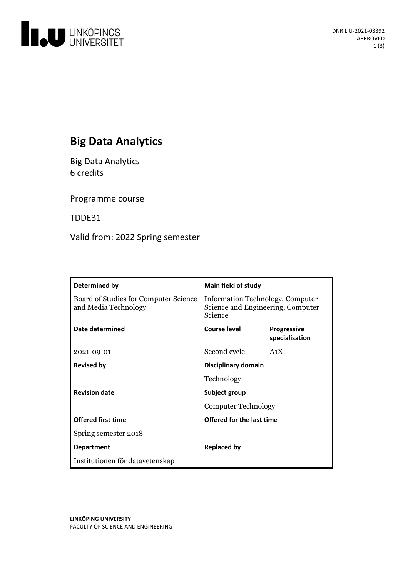

# **Big Data Analytics**

Big Data Analytics 6 credits

Programme course

TDDE31

Valid from: 2022 Spring semester

| Determined by                                                 | <b>Main field of study</b>                                                       |                                      |
|---------------------------------------------------------------|----------------------------------------------------------------------------------|--------------------------------------|
| Board of Studies for Computer Science<br>and Media Technology | Information Technology, Computer<br>Science and Engineering, Computer<br>Science |                                      |
| Date determined                                               | <b>Course level</b>                                                              | <b>Progressive</b><br>specialisation |
| 2021-09-01                                                    | Second cycle                                                                     | A <sub>1</sub> X                     |
| <b>Revised by</b>                                             | Disciplinary domain                                                              |                                      |
|                                                               | Technology                                                                       |                                      |
| <b>Revision date</b>                                          | Subject group<br><b>Computer Technology</b>                                      |                                      |
|                                                               |                                                                                  |                                      |
| <b>Offered first time</b>                                     | Offered for the last time                                                        |                                      |
| Spring semester 2018                                          |                                                                                  |                                      |
| <b>Department</b>                                             | Replaced by                                                                      |                                      |
| Institutionen för datavetenskap                               |                                                                                  |                                      |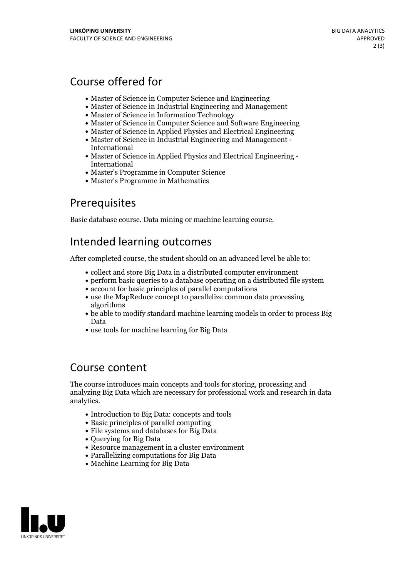## Course offered for

- Master of Science in Computer Science and Engineering
- Master of Science in Industrial Engineering and Management
- Master of Science in Information Technology
- Master of Science in Computer Science and Software Engineering
- Master of Science in Applied Physics and Electrical Engineering
- Master of Science in Industrial Engineering and Management International
- Master of Science in Applied Physics and Electrical Engineering International
- Master's Programme in Computer Science
- Master's Programme in Mathematics

## **Prerequisites**

Basic database course. Data mining or machine learning course.

## Intended learning outcomes

After completed course, the student should on an advanced level be able to:

- collect and store Big Data in a distributed computer environment
- perform basic queries to a database operating on a distributed file system
- account for basic principles of parallel computations
- use the MapReduce concept to parallelize common data processing algorithms
- be able to modify standard machine learning models in order to process Big Data
- use tools for machine learning for Big Data

#### Course content

The course introduces main concepts and tools for storing, processing and analyzing Big Data which are necessary for professional work and research in data analytics.

- Introduction to Big Data: concepts and tools
- Basic principles of parallel computing
- File systems and databases for Big Data
- Ouerving for Big Data
- Resource management in a cluster environment
- Parallelizing computations for Big Data
- Machine Learning for Big Data